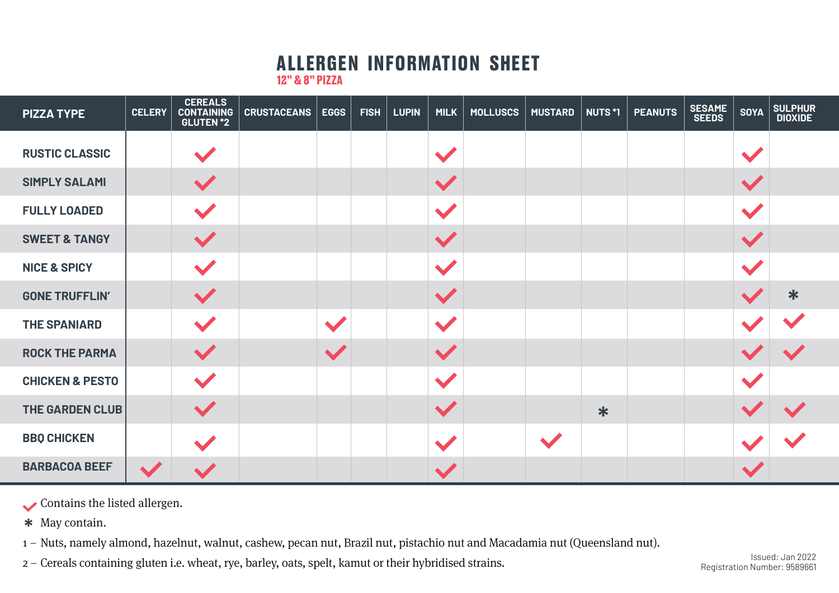## **ALLERGEN INFORMATION SHEET**

**12" & 8" PIZZA**

| <b>PIZZA TYPE</b>          | <b>CELERY</b> | <b>CEREALS</b><br><b>CONTAINING</b><br>GLUTEN <sup>*2</sup> | <b>CRUSTACEANS</b> | <b>EGGS</b> | <b>FISH</b> | <b>LUPIN</b> | <b>MILK</b>          | <b>MOLLUSCS</b> | <b>MUSTARD</b> | NUTS *1 | <b>PEANUTS</b> | <b>SESAME<br/>SEEDS</b> | <b>SOYA</b>              | SULPHUR<br>  DIOXIDE |
|----------------------------|---------------|-------------------------------------------------------------|--------------------|-------------|-------------|--------------|----------------------|-----------------|----------------|---------|----------------|-------------------------|--------------------------|----------------------|
| <b>RUSTIC CLASSIC</b>      |               |                                                             |                    |             |             |              |                      |                 |                |         |                |                         |                          |                      |
| <b>SIMPLY SALAMI</b>       |               |                                                             |                    |             |             |              | $\blacktriangledown$ |                 |                |         |                |                         |                          |                      |
| <b>FULLY LOADED</b>        |               |                                                             |                    |             |             |              | $\blacktriangledown$ |                 |                |         |                |                         | $\overline{\phantom{a}}$ |                      |
| <b>SWEET &amp; TANGY</b>   |               |                                                             |                    |             |             |              | $\blacktriangledown$ |                 |                |         |                |                         |                          |                      |
| <b>NICE &amp; SPICY</b>    |               |                                                             |                    |             |             |              | $\blacktriangledown$ |                 |                |         |                |                         | $\blacktriangledown$     |                      |
| <b>GONE TRUFFLIN'</b>      |               |                                                             |                    |             |             |              | $\blacktriangledown$ |                 |                |         |                |                         |                          | $\ast$               |
| <b>THE SPANIARD</b>        |               |                                                             |                    |             |             |              | $\blacktriangledown$ |                 |                |         |                |                         |                          |                      |
| <b>ROCK THE PARMA</b>      |               |                                                             |                    |             |             |              | $\blacktriangledown$ |                 |                |         |                |                         |                          |                      |
| <b>CHICKEN &amp; PESTO</b> |               |                                                             |                    |             |             |              | $\sqrt{2}$           |                 |                |         |                |                         |                          |                      |
| <b>THE GARDEN CLUB</b>     |               |                                                             |                    |             |             |              | $\checkmark$         |                 |                | $\ast$  |                |                         |                          |                      |
| <b>BBQ CHICKEN</b>         |               |                                                             |                    |             |             |              |                      |                 |                |         |                |                         |                          |                      |
| <b>BARBACOA BEEF</b>       |               |                                                             |                    |             |             |              |                      |                 |                |         |                |                         |                          |                      |

Contains the listed allergen.

May contain. **\***

1 – Nuts, namely almond, hazelnut, walnut, cashew, pecan nut, Brazil nut, pistachio nut and Macadamia nut (Queensland nut).

2 – Cereals containing gluten i.e. wheat, rye, barley, oats, spelt, kamut or their hybridised strains.

Issued: Jan 2022 Registration Number: 9589661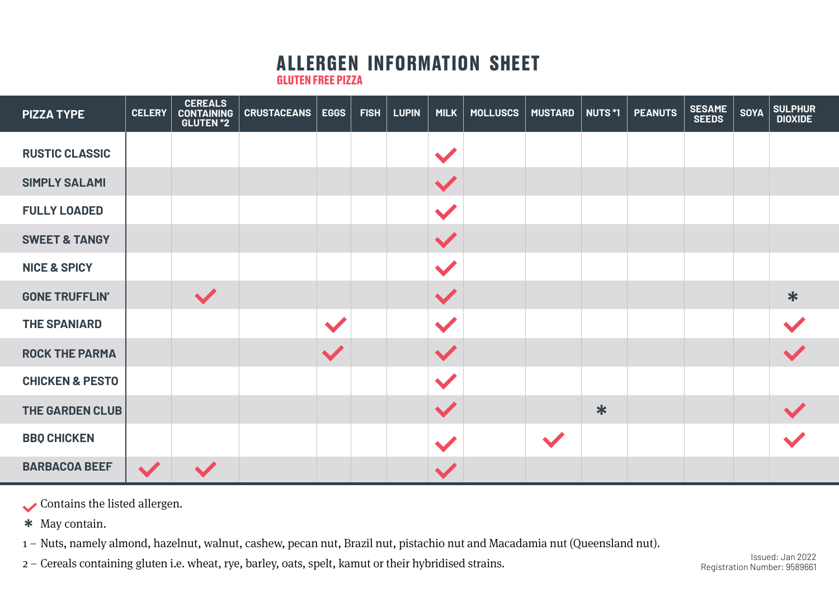## **ALLERGEN INFORMATION SHEET**

**GLUTEN FREE PIZZA**

| <b>PIZZA TYPE</b>          | <b>CELERY</b> | <b>CEREALS</b><br><b>CONTAINING</b><br><b>GLUTEN *2</b> | <b>CRUSTACEANS</b> | <b>EGGS</b> | <b>FISH</b> | <b>LUPIN</b> | MILK                 | <b>MOLLUSCS</b> | <b>MUSTARD</b> | <b>NUTS*1</b> | <b>PEANUTS</b> | <b>SESAME<br/>SEEDS</b> | <b>SOYA</b> | SULPHUR<br>DIOXIDE |
|----------------------------|---------------|---------------------------------------------------------|--------------------|-------------|-------------|--------------|----------------------|-----------------|----------------|---------------|----------------|-------------------------|-------------|--------------------|
| <b>RUSTIC CLASSIC</b>      |               |                                                         |                    |             |             |              |                      |                 |                |               |                |                         |             |                    |
| <b>SIMPLY SALAMI</b>       |               |                                                         |                    |             |             |              | $\blacktriangledown$ |                 |                |               |                |                         |             |                    |
| <b>FULLY LOADED</b>        |               |                                                         |                    |             |             |              |                      |                 |                |               |                |                         |             |                    |
| <b>SWEET &amp; TANGY</b>   |               |                                                         |                    |             |             |              | $\blacktriangledown$ |                 |                |               |                |                         |             |                    |
| <b>NICE &amp; SPICY</b>    |               |                                                         |                    |             |             |              | $\blacktriangledown$ |                 |                |               |                |                         |             |                    |
| <b>GONE TRUFFLIN'</b>      |               | $\blacktriangledown$                                    |                    |             |             |              | $\blacktriangledown$ |                 |                |               |                |                         |             | $\ast$             |
| <b>THE SPANIARD</b>        |               |                                                         |                    |             |             |              |                      |                 |                |               |                |                         |             |                    |
| <b>ROCK THE PARMA</b>      |               |                                                         |                    |             |             |              | $\blacktriangledown$ |                 |                |               |                |                         |             |                    |
| <b>CHICKEN &amp; PESTO</b> |               |                                                         |                    |             |             |              | $\blacktriangledown$ |                 |                |               |                |                         |             |                    |
| <b>THE GARDEN CLUB</b>     |               |                                                         |                    |             |             |              | $\blacktriangledown$ |                 |                | $\ast$        |                |                         |             |                    |
| <b>BBO CHICKEN</b>         |               |                                                         |                    |             |             |              |                      |                 |                |               |                |                         |             |                    |
| <b>BARBACOA BEEF</b>       |               |                                                         |                    |             |             |              |                      |                 |                |               |                |                         |             |                    |

Contains the listed allergen.

May contain. **\***

1 – Nuts, namely almond, hazelnut, walnut, cashew, pecan nut, Brazil nut, pistachio nut and Macadamia nut (Queensland nut).

2 – Cereals containing gluten i.e. wheat, rye, barley, oats, spelt, kamut or their hybridised strains.

Registration Number: 9589661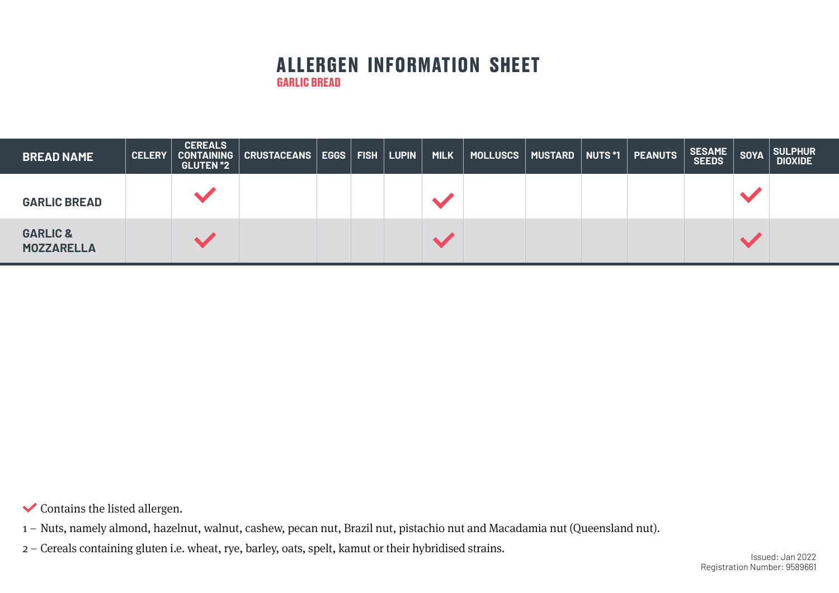## **ALLERGEN INFORMATION SHEET GARLIC BREAD**

| <b>BREAD NAME</b>                        | <b>CELERY</b> | <b>CEREALS</b><br><b>GLUTEN *2</b> | CONTAINING   CRUSTACEANS   EGGS   FISH   LUPIN |  | <b>MILK</b> | $\mid$ MOLLUSCS $\mid$ MUSTARD $\mid$ NUTS *1 $\mid$ |  | PEANUTS | SESAME SOYA | SULPHUR<br><b>DIOXIDE</b> |
|------------------------------------------|---------------|------------------------------------|------------------------------------------------|--|-------------|------------------------------------------------------|--|---------|-------------|---------------------------|
| <b>GARLIC BREAD</b>                      |               |                                    |                                                |  |             |                                                      |  |         |             |                           |
| <b>GARLIC &amp;</b><br><b>MOZZARELLA</b> |               |                                    |                                                |  |             |                                                      |  |         |             |                           |

 $\blacktriangleright$  Contains the listed allergen.

1 – Nuts, namely almond, hazelnut, walnut, cashew, pecan nut, Brazil nut, pistachio nut and Macadamia nut (Queensland nut).

2 – Cereals containing gluten i.e. wheat, rye, barley, oats, spelt, kamut or their hybridised strains.